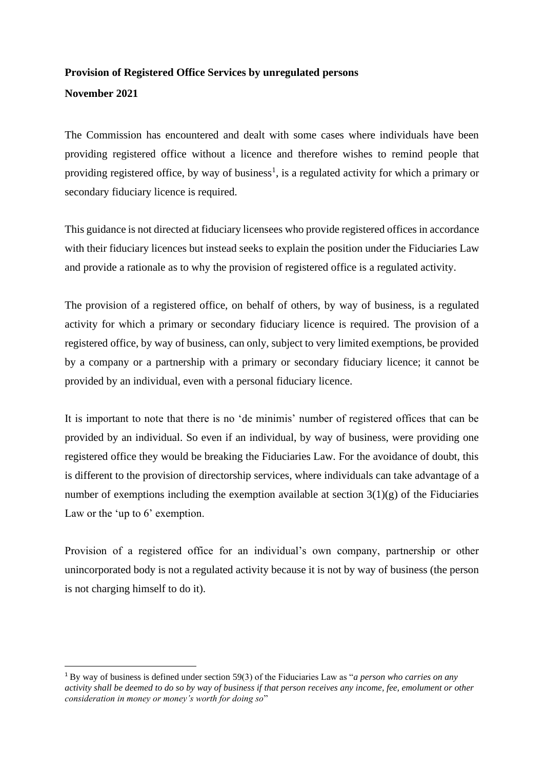## **Provision of Registered Office Services by unregulated persons**

## **November 2021**

The Commission has encountered and dealt with some cases where individuals have been providing registered office without a licence and therefore wishes to remind people that providing registered office, by way of business<sup>1</sup>, is a regulated activity for which a primary or secondary fiduciary licence is required.

This guidance is not directed at fiduciary licensees who provide registered offices in accordance with their fiduciary licences but instead seeks to explain the position under the Fiduciaries Law and provide a rationale as to why the provision of registered office is a regulated activity.

The provision of a registered office, on behalf of others, by way of business, is a regulated activity for which a primary or secondary fiduciary licence is required. The provision of a registered office, by way of business, can only, subject to very limited exemptions, be provided by a company or a partnership with a primary or secondary fiduciary licence; it cannot be provided by an individual, even with a personal fiduciary licence.

It is important to note that there is no 'de minimis' number of registered offices that can be provided by an individual. So even if an individual, by way of business, were providing one registered office they would be breaking the Fiduciaries Law. For the avoidance of doubt, this is different to the provision of directorship services, where individuals can take advantage of a number of exemptions including the exemption available at section  $3(1)(g)$  of the Fiduciaries Law or the 'up to 6' exemption.

Provision of a registered office for an individual's own company, partnership or other unincorporated body is not a regulated activity because it is not by way of business (the person is not charging himself to do it).

<sup>1</sup> By way of business is defined under section 59(3) of the Fiduciaries Law as "*a person who carries on any activity shall be deemed to do so by way of business if that person receives any income, fee, emolument or other consideration in money or money's worth for doing so*"